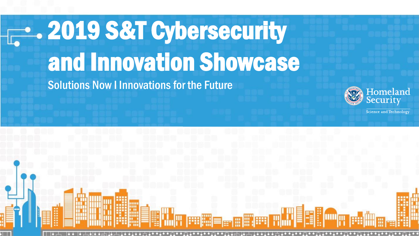# **2019 S&T Cybersecurity** and Innovation Showcase

Solutions Now I Innovations for the Future



Science and Technology

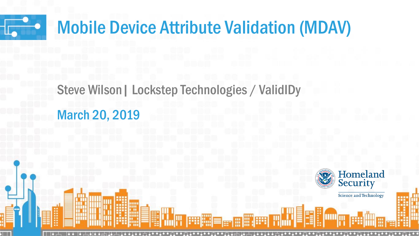

### Mobile Device Attribute Validation (MDAV)

### Steve Wilson| Lockstep Technologies / ValidIDy March 20, 2019

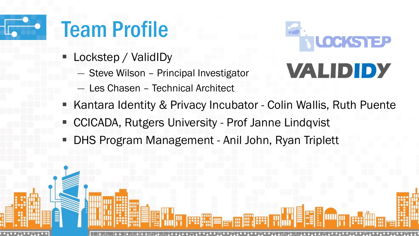# Team Profile

- Lockstep / ValidIDy
	- ― Steve Wilson Principal Investigator
	- Les Chasen Technical Architect



- Kantara Identity & Privacy Incubator Colin Wallis, Ruth Puente
- CCICADA, Rutgers University Prof Janne Lindqvist
- DHS Program Management Anil John, Ryan Triplett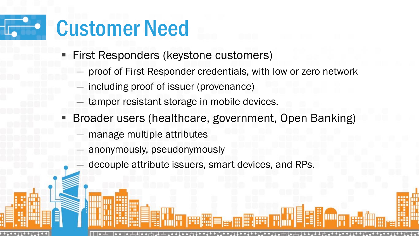## Customer Need

- **Eirst Responders (keystone customers)** 
	- proof of First Responder credentials, with low or zero network
	- including proof of issuer (provenance)
	- tamper resistant storage in mobile devices.
- Broader users (healthcare, government, Open Banking)
	- manage multiple attributes
	- anonymously, pseudonymously
	- decouple attribute issuers, smart devices, and RPs.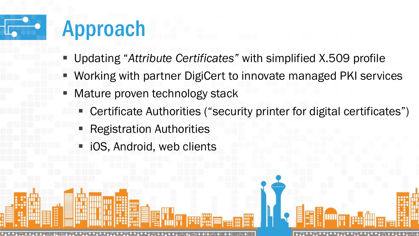### Approach

- Updating "*Attribute Certificates"* with simplified X.509 profile
- Working with partner DigiCert to innovate managed PKI services
- Mature proven technology stack
	- Certificate Authorities ("security printer for digital certificates")
	- **Registration Authorities**
	- iOS, Android, web clients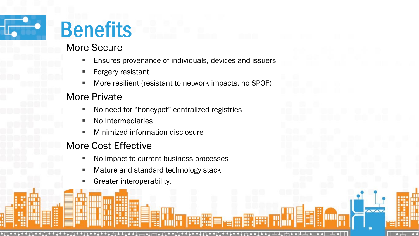

## Benefits

### More Secure

- **Ensures provenance of individuals, devices and issuers**
- Forgery resistant
- More resilient (resistant to network impacts, no SPOF)

### More Private

- No need for "honeypot" centralized registries
- No Intermediaries
- Minimized information disclosure

### More Cost Effective

- No impact to current business processes
- Mature and standard technology stack
- Greater interoperability.

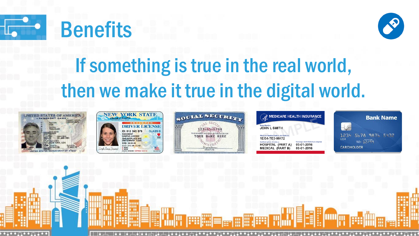





### If something is true in the real world, then we make it true in the digital world.











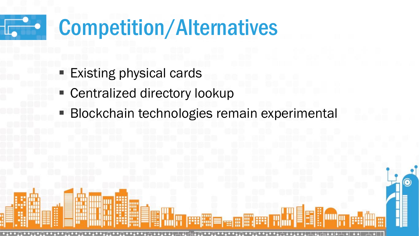# Competition/Alternatives

- **Existing physical cards**
- Centralized directory lookup
- **Blockchain technologies remain experimental**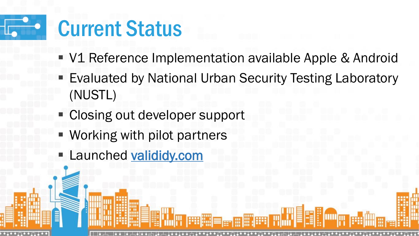

- V1 Reference Implementation available Apple & Android
- **Evaluated by National Urban Security Testing Laboratory** (NUSTL)
- **EXCLOSING OUT developer support**
- Working with pilot partners
- **E** Launched valididy.com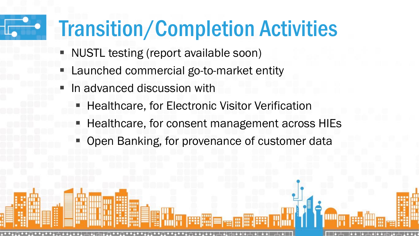## Transition/Completion Activities

- NUSTL testing (report available soon)
- Launched commercial go-to-market entity
- In advanced discussion with
	- Healthcare, for Electronic Visitor Verification
	- Healthcare, for consent management across HIEs
	- Open Banking, for provenance of customer data